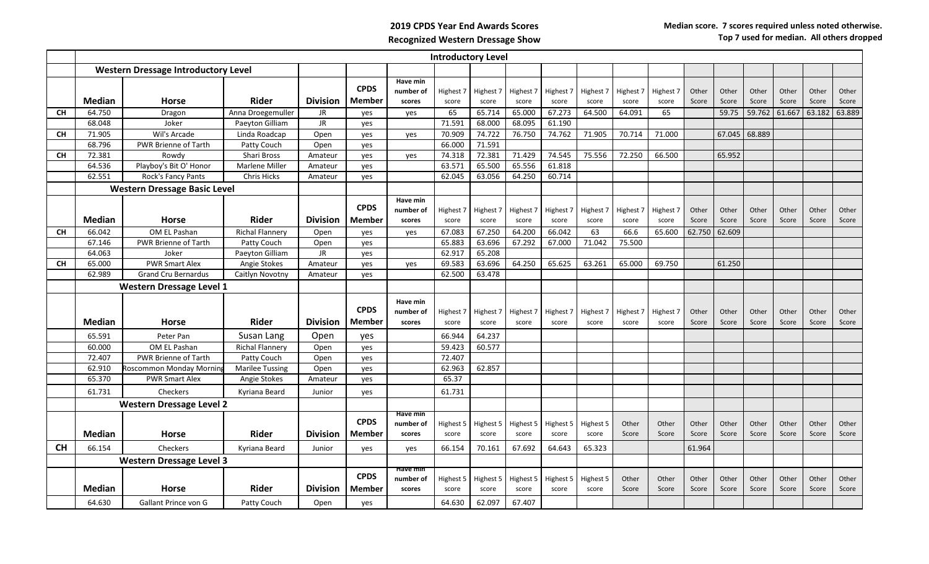## **2019 CPDS Year End Awards Scores Recognized Western Dressage Show**

|           | <b>Introductory Level</b>                  |                             |                        |                 |                       |                                 |                    |                    |                    |                    |                    |                    |                    |                |                |                |                |                |                |
|-----------|--------------------------------------------|-----------------------------|------------------------|-----------------|-----------------------|---------------------------------|--------------------|--------------------|--------------------|--------------------|--------------------|--------------------|--------------------|----------------|----------------|----------------|----------------|----------------|----------------|
|           | <b>Western Dressage Introductory Level</b> |                             |                        |                 |                       |                                 |                    |                    |                    |                    |                    |                    |                    |                |                |                |                |                |                |
|           | <b>Median</b>                              | <b>Horse</b>                | <b>Rider</b>           | <b>Division</b> | <b>CPDS</b><br>Member | Have min<br>number of<br>scores | Highest 7<br>score | Highest 7<br>score | Highest 7<br>score | Highest 7<br>score | Highest 7<br>score | Highest 7<br>score | Highest 7<br>score | Other<br>Score | Other<br>Score | Other<br>Score | Other<br>Score | Other<br>Score | Other<br>Score |
| <b>CH</b> | 64.750                                     | Dragon                      | Anna Droegemuller      | <b>JR</b>       | yes                   | yes                             | 65                 | 65.714             | 65.000             | 67.273             | 64.500             | 64.091             | 65                 |                | 59.75          | 59.762         | 61.667         | 63.182         | 63.889         |
|           | 68.048                                     | Joker                       | Paeyton Gilliam        | <b>JR</b>       | ves                   |                                 | 71.591             | 68.000             | 68.095             | 61.190             |                    |                    |                    |                |                |                |                |                |                |
| <b>CH</b> | 71.905                                     | Wil's Arcade                | Linda Roadcap          | Open            | ves                   | ves                             | 70.909             | 74.722             | 76.750             | 74.762             | 71.905             | 70.714             | 71.000             |                | 67.045         | 68.889         |                |                |                |
|           | 68.796                                     | PWR Brienne of Tarth        | Patty Couch            | Open            | yes                   |                                 | 66.000             | 71.591             |                    |                    |                    |                    |                    |                |                |                |                |                |                |
| <b>CH</b> | 72.381                                     | Rowdy                       | Shari Bross            | Amateur         | ves                   | yes                             | 74.318             | 72.381             | 71.429             | 74.545             | 75.556             | 72.250             | 66.500             |                | 65.952         |                |                |                |                |
|           | 64.536                                     | Playboy's Bit O' Honor      | <b>Marlene Miller</b>  | Amateur         | yes                   |                                 | 63.571             | 65.500             | 65.556             | 61.818             |                    |                    |                    |                |                |                |                |                |                |
|           | 62.551                                     | Rock's Fancy Pants          | <b>Chris Hicks</b>     | Amateur         | yes                   |                                 | 62.045             | 63.056             | 64.250             | 60.714             |                    |                    |                    |                |                |                |                |                |                |
|           | <b>Western Dressage Basic Level</b>        |                             |                        |                 |                       |                                 |                    |                    |                    |                    |                    |                    |                    |                |                |                |                |                |                |
|           |                                            |                             |                        |                 | <b>CPDS</b>           | Have min<br>number of           | Highest 7          | Highest 7          | Highest 7          | Highest 7          | Highest 7          | Highest 7          | Highest 7          | Other          | Other          | Other          | Other          | Other          | Other          |
|           | <b>Median</b>                              | <b>Horse</b>                | <b>Rider</b>           | <b>Division</b> | <b>Member</b>         | scores                          | score              | score              | score              | score              | score              | score              | score              | Score          | Score          | Score          | Score          | Score          | Score          |
| <b>CH</b> | 66.042                                     | OM EL Pashan                | <b>Richal Flannery</b> | Open            | yes                   | yes                             | 67.083             | 67.250             | 64.200             | 66.042             | 63                 | 66.6               | 65.600             | 62.750         | 62.609         |                |                |                |                |
|           | 67.146                                     | <b>PWR Brienne of Tarth</b> | Patty Couch            | Open            | ves                   |                                 | 65.883             | 63.696             | 67.292             | 67.000             | 71.042             | 75.500             |                    |                |                |                |                |                |                |
|           | 64.063                                     | Joker                       | Paeyton Gilliam        | JR.             | ves                   |                                 | 62.917             | 65.208             |                    |                    |                    |                    |                    |                |                |                |                |                |                |
| <b>CH</b> | 65.000                                     | <b>PWR Smart Alex</b>       | Angie Stokes           | Amateur         | yes                   | yes                             | 69.583             | 63.696             | 64.250             | 65.625             | 63.261             | 65.000             | 69.750             |                | 61.250         |                |                |                |                |
|           | 62.989                                     | <b>Grand Cru Bernardus</b>  | Caitlyn Novotny        | Amateur         | yes                   |                                 | 62.500             | 63.478             |                    |                    |                    |                    |                    |                |                |                |                |                |                |
|           | <b>Western Dressage Level 1</b>            |                             |                        |                 |                       |                                 |                    |                    |                    |                    |                    |                    |                    |                |                |                |                |                |                |
|           | <b>Median</b>                              | <b>Horse</b>                | <b>Rider</b>           | <b>Division</b> | <b>CPDS</b><br>Member | Have min<br>number of<br>scores | Highest 7<br>score | Highest 7<br>score | Highest 7<br>score | Highest 7<br>score | Highest 7<br>score | Highest 7<br>score | Highest 7<br>score | Other<br>Score | Other<br>Score | Other<br>Score | Other<br>Score | Other<br>Score | Other<br>Score |
|           | 65.591                                     | Peter Pan                   | Susan Lang             | Open            |                       |                                 | 66.944             | 64.237             |                    |                    |                    |                    |                    |                |                |                |                |                |                |
|           | 60.000                                     | OM EL Pashan                | <b>Richal Flannery</b> | Open            | ves<br>ves            |                                 | 59.423             | 60.577             |                    |                    |                    |                    |                    |                |                |                |                |                |                |
|           | 72.407                                     | PWR Brienne of Tarth        | Patty Couch            | Open            | ves                   |                                 | 72.407             |                    |                    |                    |                    |                    |                    |                |                |                |                |                |                |
|           | 62.910                                     | Roscommon Monday Mornin     | <b>Marilee Tussing</b> | Open            | ves                   |                                 | 62.963             | 62.857             |                    |                    |                    |                    |                    |                |                |                |                |                |                |
|           | 65.370                                     | <b>PWR Smart Alex</b>       | Angie Stokes           | Amateur         | ves                   |                                 | 65.37              |                    |                    |                    |                    |                    |                    |                |                |                |                |                |                |
|           | 61.731                                     | <b>Checkers</b>             | Kyriana Beard          | Junior          | ves                   |                                 | 61.731             |                    |                    |                    |                    |                    |                    |                |                |                |                |                |                |
|           | <b>Western Dressage Level 2</b>            |                             |                        |                 |                       |                                 |                    |                    |                    |                    |                    |                    |                    |                |                |                |                |                |                |
|           |                                            |                             |                        |                 |                       | Have min                        |                    |                    |                    |                    |                    |                    |                    |                |                |                |                |                |                |
|           |                                            |                             |                        |                 | <b>CPDS</b>           | number of                       | Highest 5          | Highest 5          | Highest 5          | Highest 5          | Highest 5          | Other              | Other              | Other          | Other          | Other          | Other          | Other          | Other          |
|           | <b>Median</b>                              | <b>Horse</b>                | Rider                  | <b>Division</b> | <b>Member</b>         | scores                          | score              | score              | score              | score              | score              | Score              | Score              | Score          | Score          | Score          | Score          | Score          | Score          |
| <b>CH</b> | 66.154                                     | Checkers                    | Kvriana Beard          | Junior          | ves                   | yes                             | 66.154             | 70.161             | 67.692             | 64.643             | 65.323             |                    |                    | 61.964         |                |                |                |                |                |
|           | <b>Western Dressage Level 3</b>            |                             |                        |                 |                       |                                 |                    |                    |                    |                    |                    |                    |                    |                |                |                |                |                |                |
|           |                                            |                             |                        |                 | <b>CPDS</b>           | Have min                        |                    |                    |                    |                    |                    |                    |                    |                |                |                |                |                |                |
|           | <b>Median</b>                              | Horse                       | Rider                  | <b>Division</b> | Member                | number of<br>scores             | Highest 5<br>score | Highest 5<br>score | Highest 5<br>score | Highest 5<br>score | Highest 5<br>score | Other<br>Score     | Other<br>Score     | Other<br>Score | Other<br>Score | Other<br>Score | Other<br>Score | Other<br>Score | Other<br>Score |
|           | 64.630                                     | Gallant Prince von G        | Patty Couch            | Open            | yes                   |                                 | 64.630             | 62.097             | 67.407             |                    |                    |                    |                    |                |                |                |                |                |                |
|           |                                            |                             |                        |                 |                       |                                 |                    |                    |                    |                    |                    |                    |                    |                |                |                |                |                |                |